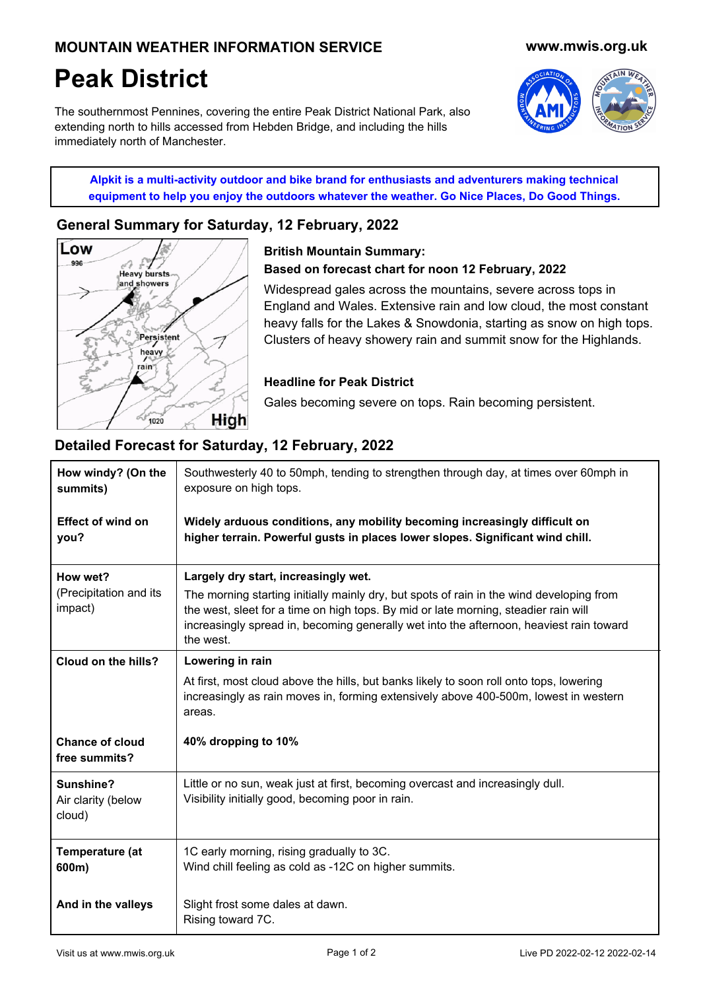# **Peak District**

The southernmost Pennines, covering the entire Peak District National Park, also extending north to hills accessed from Hebden Bridge, and including the hills immediately north of Manchester.



**Alpkit is a multi-activity outdoor and bike brand for enthusiasts and adventurers making technical equipment to help you enjoy the outdoors whatever the weather. Go Nice Places, Do Good Things.**

# **[General Summary for Saturday, 12 February, 2022](http://alpkit.com/?utm_medium=bnr&utm_source=mwis&utm_campaign=external_ads&utm_content=weather)**



**[British Mountain Summary:](http://alpkit.com/?utm_medium=bnr&utm_source=mwis&utm_campaign=external_ads&utm_content=weather) Based on forecast chart for noon 12 February, 2022**

Widespread gales across the mountains, severe across tops in England and Wales. Extensive rain and low cloud, the most constant heavy falls for the Lakes & Snowdonia, starting as snow on high tops. Clusters of heavy showery rain and summit snow for the Highlands.

### **Headline for Peak District**

Gales becoming severe on tops. Rain becoming persistent.

# **Detailed Forecast for Saturday, 12 February, 2022**

| How windy? (On the<br>summits)                | Southwesterly 40 to 50mph, tending to strengthen through day, at times over 60mph in<br>exposure on high tops.                                                                                                                                                                                                     |  |
|-----------------------------------------------|--------------------------------------------------------------------------------------------------------------------------------------------------------------------------------------------------------------------------------------------------------------------------------------------------------------------|--|
| <b>Effect of wind on</b><br>you?              | Widely arduous conditions, any mobility becoming increasingly difficult on<br>higher terrain. Powerful gusts in places lower slopes. Significant wind chill.                                                                                                                                                       |  |
| How wet?<br>(Precipitation and its<br>impact) | Largely dry start, increasingly wet.<br>The morning starting initially mainly dry, but spots of rain in the wind developing from<br>the west, sleet for a time on high tops. By mid or late morning, steadier rain will<br>increasingly spread in, becoming generally wet into the afternoon, heaviest rain toward |  |
| Cloud on the hills?                           | the west.<br>Lowering in rain                                                                                                                                                                                                                                                                                      |  |
|                                               | At first, most cloud above the hills, but banks likely to soon roll onto tops, lowering<br>increasingly as rain moves in, forming extensively above 400-500m, lowest in western<br>areas.                                                                                                                          |  |
| <b>Chance of cloud</b><br>free summits?       | 40% dropping to 10%                                                                                                                                                                                                                                                                                                |  |
| Sunshine?<br>Air clarity (below<br>cloud)     | Little or no sun, weak just at first, becoming overcast and increasingly dull.<br>Visibility initially good, becoming poor in rain.                                                                                                                                                                                |  |
| Temperature (at<br>600m)                      | 1C early morning, rising gradually to 3C.<br>Wind chill feeling as cold as -12C on higher summits.                                                                                                                                                                                                                 |  |
| And in the valleys                            | Slight frost some dales at dawn.<br>Rising toward 7C.                                                                                                                                                                                                                                                              |  |